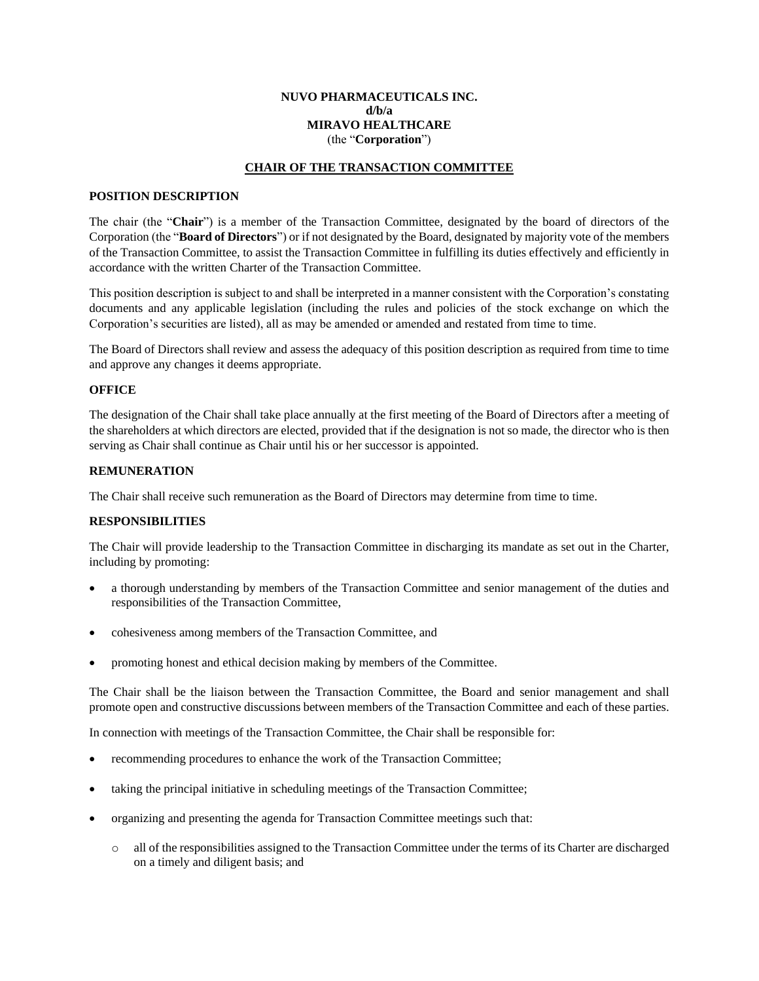### **NUVO PHARMACEUTICALS INC. d/b/a MIRAVO HEALTHCARE** (the "**Corporation**")

# **CHAIR OF THE TRANSACTION COMMITTEE**

#### **POSITION DESCRIPTION**

The chair (the "**Chair**") is a member of the Transaction Committee, designated by the board of directors of the Corporation (the "**Board of Directors**") or if not designated by the Board, designated by majority vote of the members of the Transaction Committee, to assist the Transaction Committee in fulfilling its duties effectively and efficiently in accordance with the written Charter of the Transaction Committee.

This position description is subject to and shall be interpreted in a manner consistent with the Corporation's constating documents and any applicable legislation (including the rules and policies of the stock exchange on which the Corporation's securities are listed), all as may be amended or amended and restated from time to time.

The Board of Directors shall review and assess the adequacy of this position description as required from time to time and approve any changes it deems appropriate.

#### **OFFICE**

The designation of the Chair shall take place annually at the first meeting of the Board of Directors after a meeting of the shareholders at which directors are elected, provided that if the designation is not so made, the director who is then serving as Chair shall continue as Chair until his or her successor is appointed.

#### **REMUNERATION**

The Chair shall receive such remuneration as the Board of Directors may determine from time to time.

## **RESPONSIBILITIES**

The Chair will provide leadership to the Transaction Committee in discharging its mandate as set out in the Charter, including by promoting:

- a thorough understanding by members of the Transaction Committee and senior management of the duties and responsibilities of the Transaction Committee,
- cohesiveness among members of the Transaction Committee, and
- promoting honest and ethical decision making by members of the Committee.

The Chair shall be the liaison between the Transaction Committee, the Board and senior management and shall promote open and constructive discussions between members of the Transaction Committee and each of these parties.

In connection with meetings of the Transaction Committee, the Chair shall be responsible for:

- recommending procedures to enhance the work of the Transaction Committee;
- taking the principal initiative in scheduling meetings of the Transaction Committee;
- organizing and presenting the agenda for Transaction Committee meetings such that:
	- o all of the responsibilities assigned to the Transaction Committee under the terms of its Charter are discharged on a timely and diligent basis; and